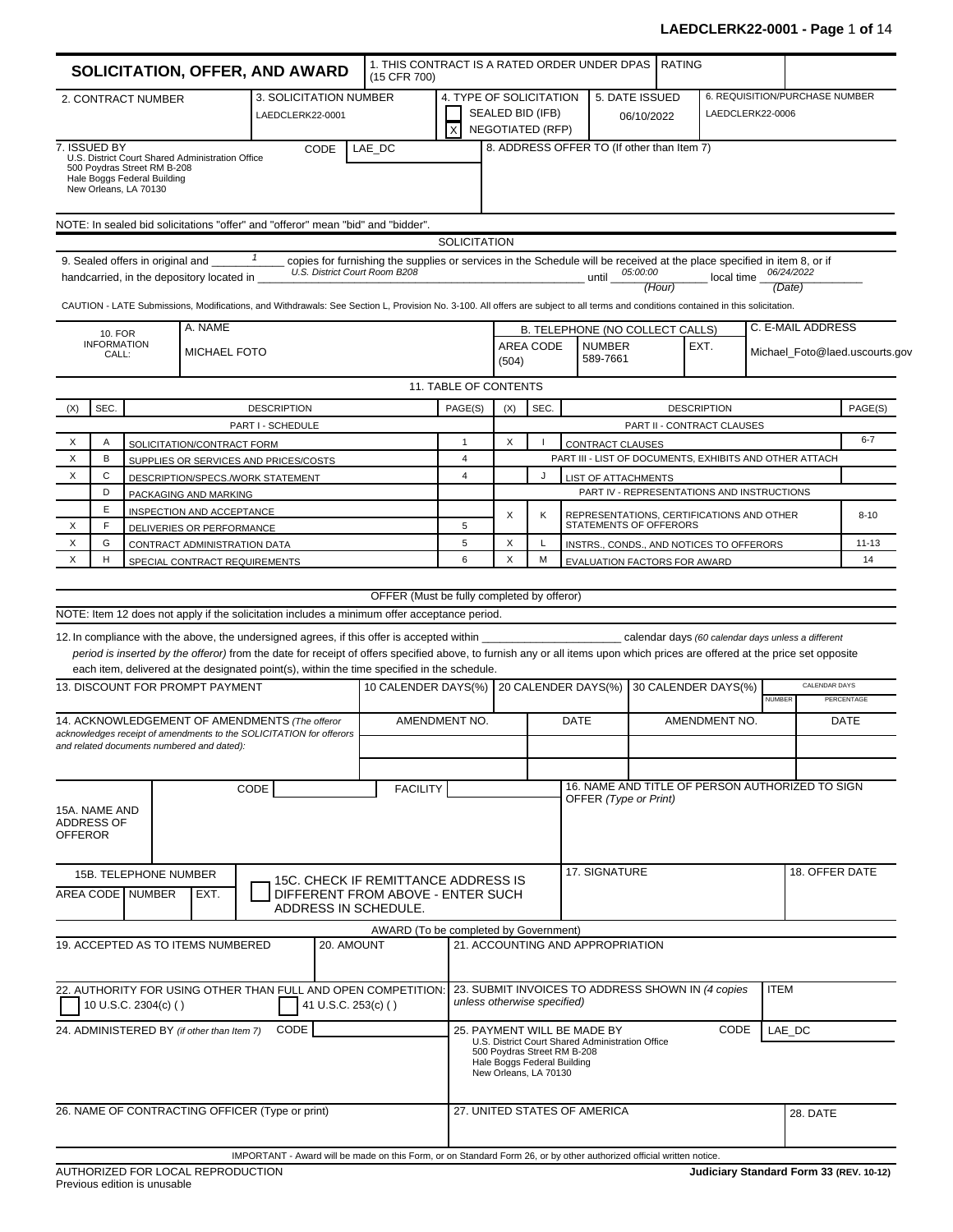|                                                                                                              |                                               |                                                                                     | <b>SOLICITATION, OFFER, AND AWARD</b>                                                                             |                                         |                        | 1. THIS CONTRACT IS A RATED ORDER UNDER DPAS<br>(15 CFR 700)                                                                                                                                                                                                                                                                                                                                    |                                                    |       |                                                                                     |                                                   |                                                                                 | <b>RATING</b> |                                                                           |               |                                |                                |
|--------------------------------------------------------------------------------------------------------------|-----------------------------------------------|-------------------------------------------------------------------------------------|-------------------------------------------------------------------------------------------------------------------|-----------------------------------------|------------------------|-------------------------------------------------------------------------------------------------------------------------------------------------------------------------------------------------------------------------------------------------------------------------------------------------------------------------------------------------------------------------------------------------|----------------------------------------------------|-------|-------------------------------------------------------------------------------------|---------------------------------------------------|---------------------------------------------------------------------------------|---------------|---------------------------------------------------------------------------|---------------|--------------------------------|--------------------------------|
|                                                                                                              |                                               | 2. CONTRACT NUMBER                                                                  |                                                                                                                   | LAEDCLERK22-0001                        | 3. SOLICITATION NUMBER |                                                                                                                                                                                                                                                                                                                                                                                                 | 4. TYPE OF SOLICITATION<br>$\overline{\mathsf{x}}$ |       | SEALED BID (IFB)<br><b>NEGOTIATED (RFP)</b>                                         |                                                   | 5. DATE ISSUED                                                                  | 06/10/2022    | LAEDCLERK22-0006                                                          |               | 6. REQUISITION/PURCHASE NUMBER |                                |
| 7. ISSUED BY                                                                                                 |                                               | 500 Poydras Street RM B-208<br>Hale Boggs Federal Building<br>New Orleans, LA 70130 | U.S. District Court Shared Administration Office                                                                  |                                         | CODE                   | LAE DC                                                                                                                                                                                                                                                                                                                                                                                          |                                                    |       |                                                                                     |                                                   | 8. ADDRESS OFFER TO (If other than Item 7)                                      |               |                                                                           |               |                                |                                |
|                                                                                                              |                                               |                                                                                     |                                                                                                                   |                                         |                        | NOTE: In sealed bid solicitations "offer" and "offeror" mean "bid" and "bidder".                                                                                                                                                                                                                                                                                                                |                                                    |       |                                                                                     |                                                   |                                                                                 |               |                                                                           |               |                                |                                |
|                                                                                                              |                                               | 9. Sealed offers in original and                                                    | handcarried, in the depository located in                                                                         | $\mathbf{1}$                            |                        | copies for furnishing the supplies or services in the Schedule will be received at the place specified in item 8, or if<br>U.S. District Court Room B208<br>CAUTION - LATE Submissions, Modifications, and Withdrawals: See Section L, Provision No. 3-100. All offers are subject to all terms and conditions contained in this solicitation.                                                  | <b>SOLICITATION</b>                                |       |                                                                                     |                                                   | 05:00:00<br>until                                                               | (Hour)        | local time                                                                |               | 06/24/2022<br>(Date)           |                                |
|                                                                                                              | <b>10. FOR</b><br><b>INFORMATION</b><br>CALL: |                                                                                     | A. NAME<br><b>MICHAEL FOTO</b>                                                                                    |                                         |                        |                                                                                                                                                                                                                                                                                                                                                                                                 |                                                    | (504) | AREA CODE                                                                           |                                                   | B. TELEPHONE (NO COLLECT CALLS)<br><b>NUMBER</b><br>589-7661                    |               | EXT.                                                                      |               | C. E-MAIL ADDRESS              | Michael_Foto@laed.uscourts.gov |
|                                                                                                              |                                               |                                                                                     |                                                                                                                   |                                         |                        |                                                                                                                                                                                                                                                                                                                                                                                                 | 11. TABLE OF CONTENTS                              |       |                                                                                     |                                                   |                                                                                 |               |                                                                           |               |                                |                                |
| (X)                                                                                                          | SEC.                                          |                                                                                     |                                                                                                                   | <b>DESCRIPTION</b><br>PART I - SCHEDULE |                        |                                                                                                                                                                                                                                                                                                                                                                                                 | PAGE(S)                                            | (X)   | SEC.                                                                                |                                                   |                                                                                 |               | <b>DESCRIPTION</b><br>PART II - CONTRACT CLAUSES                          |               |                                | PAGE(S)                        |
| X                                                                                                            | A                                             |                                                                                     | SOLICITATION/CONTRACT FORM                                                                                        |                                         |                        |                                                                                                                                                                                                                                                                                                                                                                                                 | $\mathbf{1}$                                       | X     |                                                                                     |                                                   | CONTRACT CLAUSES                                                                |               |                                                                           |               |                                | $6 - 7$                        |
| X                                                                                                            | B                                             |                                                                                     | SUPPLIES OR SERVICES AND PRICES/COSTS                                                                             |                                         |                        |                                                                                                                                                                                                                                                                                                                                                                                                 | $\overline{4}$                                     |       |                                                                                     |                                                   |                                                                                 |               | PART III - LIST OF DOCUMENTS, EXHIBITS AND OTHER ATTACH                   |               |                                |                                |
| X                                                                                                            | C                                             |                                                                                     | DESCRIPTION/SPECS./WORK STATEMENT                                                                                 |                                         |                        |                                                                                                                                                                                                                                                                                                                                                                                                 | $\overline{4}$                                     |       | J                                                                                   |                                                   | LIST OF ATTACHMENTS                                                             |               |                                                                           |               |                                |                                |
|                                                                                                              | D<br>Ε                                        |                                                                                     | PACKAGING AND MARKING<br>INSPECTION AND ACCEPTANCE                                                                |                                         |                        |                                                                                                                                                                                                                                                                                                                                                                                                 |                                                    |       |                                                                                     |                                                   |                                                                                 |               | PART IV - REPRESENTATIONS AND INSTRUCTIONS                                |               |                                |                                |
| X                                                                                                            | F                                             |                                                                                     | DELIVERIES OR PERFORMANCE                                                                                         |                                         |                        |                                                                                                                                                                                                                                                                                                                                                                                                 | 5                                                  | X     | K                                                                                   |                                                   | STATEMENTS OF OFFERORS                                                          |               | REPRESENTATIONS, CERTIFICATIONS AND OTHER                                 |               |                                | $8 - 10$                       |
| X                                                                                                            | G                                             |                                                                                     | CONTRACT ADMINISTRATION DATA                                                                                      |                                         |                        |                                                                                                                                                                                                                                                                                                                                                                                                 | 5                                                  | X     | L                                                                                   | INSTRS., CONDS., AND NOTICES TO OFFERORS          |                                                                                 |               |                                                                           | $11 - 13$     |                                |                                |
| X                                                                                                            | н                                             |                                                                                     | SPECIAL CONTRACT REQUIREMENTS                                                                                     |                                         |                        |                                                                                                                                                                                                                                                                                                                                                                                                 | 6                                                  | X     | M                                                                                   |                                                   | EVALUATION FACTORS FOR AWARD                                                    |               |                                                                           |               |                                | 14                             |
|                                                                                                              |                                               |                                                                                     |                                                                                                                   |                                         |                        | OFFER (Must be fully completed by offeror)                                                                                                                                                                                                                                                                                                                                                      |                                                    |       |                                                                                     |                                                   |                                                                                 |               |                                                                           |               |                                |                                |
|                                                                                                              |                                               |                                                                                     |                                                                                                                   |                                         |                        | NOTE: Item 12 does not apply if the solicitation includes a minimum offer acceptance period.                                                                                                                                                                                                                                                                                                    |                                                    |       |                                                                                     |                                                   |                                                                                 |               |                                                                           |               |                                |                                |
|                                                                                                              |                                               |                                                                                     | 13. DISCOUNT FOR PROMPT PAYMENT                                                                                   |                                         |                        | 12. In compliance with the above, the undersigned agrees, if this offer is accepted within<br>period is inserted by the offeror) from the date for receipt of offers specified above, to furnish any or all items upon which prices are offered at the price set opposite<br>each item, delivered at the designated point(s), within the time specified in the schedule.<br>10 CALENDER DAYS(%) |                                                    |       |                                                                                     |                                                   | 20 CALENDER DAYS(%)                                                             |               | calendar days (60 calendar days unless a different<br>30 CALENDER DAYS(%) | <b>NUMBER</b> | CALENDAR DAYS                  | PERCENTAGE                     |
|                                                                                                              |                                               |                                                                                     | 14. ACKNOWLEDGEMENT OF AMENDMENTS (The offeror                                                                    |                                         |                        | AMENDMENT NO.                                                                                                                                                                                                                                                                                                                                                                                   |                                                    |       |                                                                                     | DATE                                              |                                                                                 |               | AMENDMENT NO.                                                             |               |                                | DATE                           |
|                                                                                                              |                                               |                                                                                     | acknowledges receipt of amendments to the SOLICITATION for offerors<br>and related documents numbered and dated): |                                         |                        |                                                                                                                                                                                                                                                                                                                                                                                                 |                                                    |       |                                                                                     |                                                   |                                                                                 |               |                                                                           |               |                                |                                |
|                                                                                                              |                                               |                                                                                     |                                                                                                                   | CODE                                    |                        | <b>FACILITY</b>                                                                                                                                                                                                                                                                                                                                                                                 |                                                    |       |                                                                                     |                                                   |                                                                                 |               | 16. NAME AND TITLE OF PERSON AUTHORIZED TO SIGN                           |               |                                |                                |
| 15A. NAME AND<br>ADDRESS OF<br><b>OFFEROR</b>                                                                |                                               |                                                                                     |                                                                                                                   |                                         |                        |                                                                                                                                                                                                                                                                                                                                                                                                 |                                                    |       |                                                                                     |                                                   | OFFER (Type or Print)                                                           |               |                                                                           |               |                                |                                |
|                                                                                                              |                                               | 15B. TELEPHONE NUMBER<br>AREA CODE NUMBER                                           | EXT.                                                                                                              |                                         |                        | 15C. CHECK IF REMITTANCE ADDRESS IS<br>DIFFERENT FROM ABOVE - ENTER SUCH<br>ADDRESS IN SCHEDULE.                                                                                                                                                                                                                                                                                                |                                                    |       |                                                                                     |                                                   | 17. SIGNATURE                                                                   |               |                                                                           |               | 18. OFFER DATE                 |                                |
|                                                                                                              |                                               |                                                                                     | 19. ACCEPTED AS TO ITEMS NUMBERED                                                                                 |                                         | 20. AMOUNT             | AWARD (To be completed by Government)                                                                                                                                                                                                                                                                                                                                                           |                                                    |       |                                                                                     |                                                   | 21. ACCOUNTING AND APPROPRIATION                                                |               |                                                                           |               |                                |                                |
| 22. AUTHORITY FOR USING OTHER THAN FULL AND OPEN COMPETITION:<br>41 U.S.C. 253(c) ()<br>10 U.S.C. 2304(c) () |                                               |                                                                                     |                                                                                                                   |                                         |                        | unless otherwise specified)                                                                                                                                                                                                                                                                                                                                                                     |                                                    |       |                                                                                     | 23. SUBMIT INVOICES TO ADDRESS SHOWN IN (4 copies | <b>ITEM</b>                                                                     |               |                                                                           |               |                                |                                |
|                                                                                                              |                                               |                                                                                     | 24. ADMINISTERED BY (if other than Item 7)                                                                        | CODE                                    |                        |                                                                                                                                                                                                                                                                                                                                                                                                 |                                                    |       | 500 Poydras Street RM B-208<br>Hale Boggs Federal Building<br>New Orleans, LA 70130 |                                                   | 25. PAYMENT WILL BE MADE BY<br>U.S. District Court Shared Administration Office |               | CODE                                                                      |               | LAE DC                         |                                |
|                                                                                                              |                                               |                                                                                     | 26. NAME OF CONTRACTING OFFICER (Type or print)                                                                   |                                         |                        |                                                                                                                                                                                                                                                                                                                                                                                                 |                                                    |       |                                                                                     |                                                   | 27. UNITED STATES OF AMERICA                                                    |               |                                                                           |               | 28. DATE                       |                                |
|                                                                                                              |                                               |                                                                                     |                                                                                                                   |                                         |                        | IMPORTANT - Award will be made on this Form, or on Standard Form 26, or by other authorized official written notice.                                                                                                                                                                                                                                                                            |                                                    |       |                                                                                     |                                                   |                                                                                 |               |                                                                           |               |                                |                                |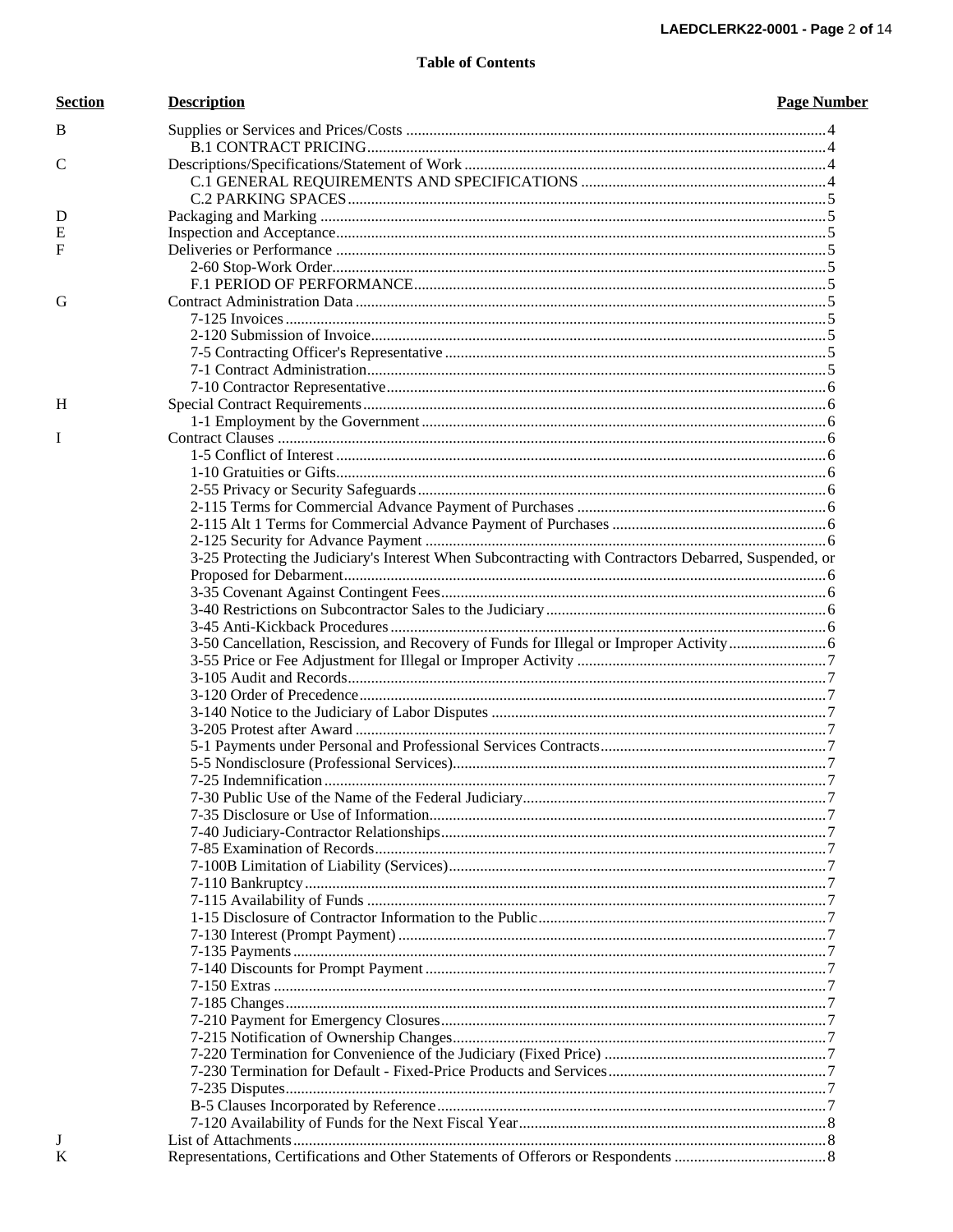| <b>Section</b> | <b>Description</b>                                                                                    | <b>Page Number</b> |
|----------------|-------------------------------------------------------------------------------------------------------|--------------------|
| B              |                                                                                                       |                    |
|                |                                                                                                       |                    |
| C              |                                                                                                       |                    |
|                |                                                                                                       |                    |
|                |                                                                                                       |                    |
| D              |                                                                                                       |                    |
| Е              |                                                                                                       |                    |
| F              |                                                                                                       |                    |
|                |                                                                                                       |                    |
|                |                                                                                                       |                    |
| G              |                                                                                                       |                    |
|                |                                                                                                       |                    |
|                |                                                                                                       |                    |
|                |                                                                                                       |                    |
|                |                                                                                                       |                    |
|                |                                                                                                       |                    |
| H              |                                                                                                       |                    |
|                |                                                                                                       |                    |
| I              |                                                                                                       |                    |
|                |                                                                                                       |                    |
|                |                                                                                                       |                    |
|                |                                                                                                       |                    |
|                |                                                                                                       |                    |
|                |                                                                                                       |                    |
|                |                                                                                                       |                    |
|                | 3-25 Protecting the Judiciary's Interest When Subcontracting with Contractors Debarred, Suspended, or |                    |
|                |                                                                                                       |                    |
|                |                                                                                                       |                    |
|                |                                                                                                       |                    |
|                |                                                                                                       |                    |
|                |                                                                                                       |                    |
|                |                                                                                                       |                    |
|                |                                                                                                       |                    |
|                |                                                                                                       |                    |
|                |                                                                                                       |                    |
|                |                                                                                                       |                    |
|                |                                                                                                       |                    |
|                |                                                                                                       |                    |
|                |                                                                                                       |                    |
|                |                                                                                                       |                    |
|                |                                                                                                       |                    |
|                |                                                                                                       |                    |
|                |                                                                                                       |                    |
|                |                                                                                                       |                    |
|                |                                                                                                       |                    |
|                |                                                                                                       |                    |
|                |                                                                                                       |                    |
|                |                                                                                                       |                    |
|                |                                                                                                       |                    |
|                |                                                                                                       |                    |
|                |                                                                                                       |                    |
|                |                                                                                                       |                    |
|                |                                                                                                       |                    |
|                |                                                                                                       |                    |
|                |                                                                                                       |                    |
|                |                                                                                                       |                    |
|                |                                                                                                       |                    |
|                |                                                                                                       |                    |
|                |                                                                                                       |                    |
| J              |                                                                                                       |                    |
| K              |                                                                                                       |                    |
|                |                                                                                                       |                    |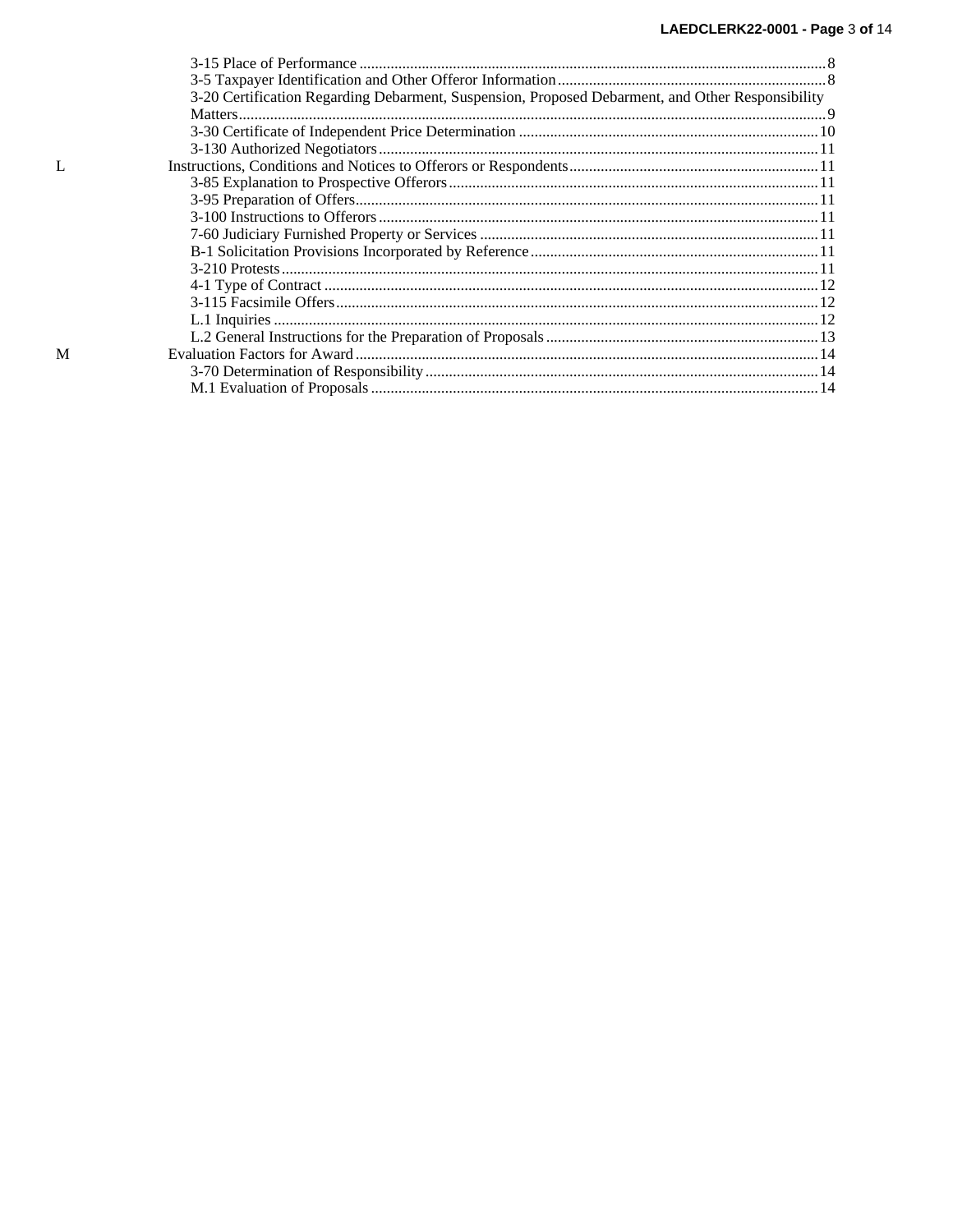| 3-20 Certification Regarding Debarment, Suspension, Proposed Debarment, and Other Responsibility |  |
|--------------------------------------------------------------------------------------------------|--|
|                                                                                                  |  |
|                                                                                                  |  |
|                                                                                                  |  |
|                                                                                                  |  |
|                                                                                                  |  |
|                                                                                                  |  |
|                                                                                                  |  |
|                                                                                                  |  |
|                                                                                                  |  |
|                                                                                                  |  |
|                                                                                                  |  |
|                                                                                                  |  |
|                                                                                                  |  |
|                                                                                                  |  |
|                                                                                                  |  |
|                                                                                                  |  |
|                                                                                                  |  |
|                                                                                                  |  |
|                                                                                                  |  |

 $\mathbf L$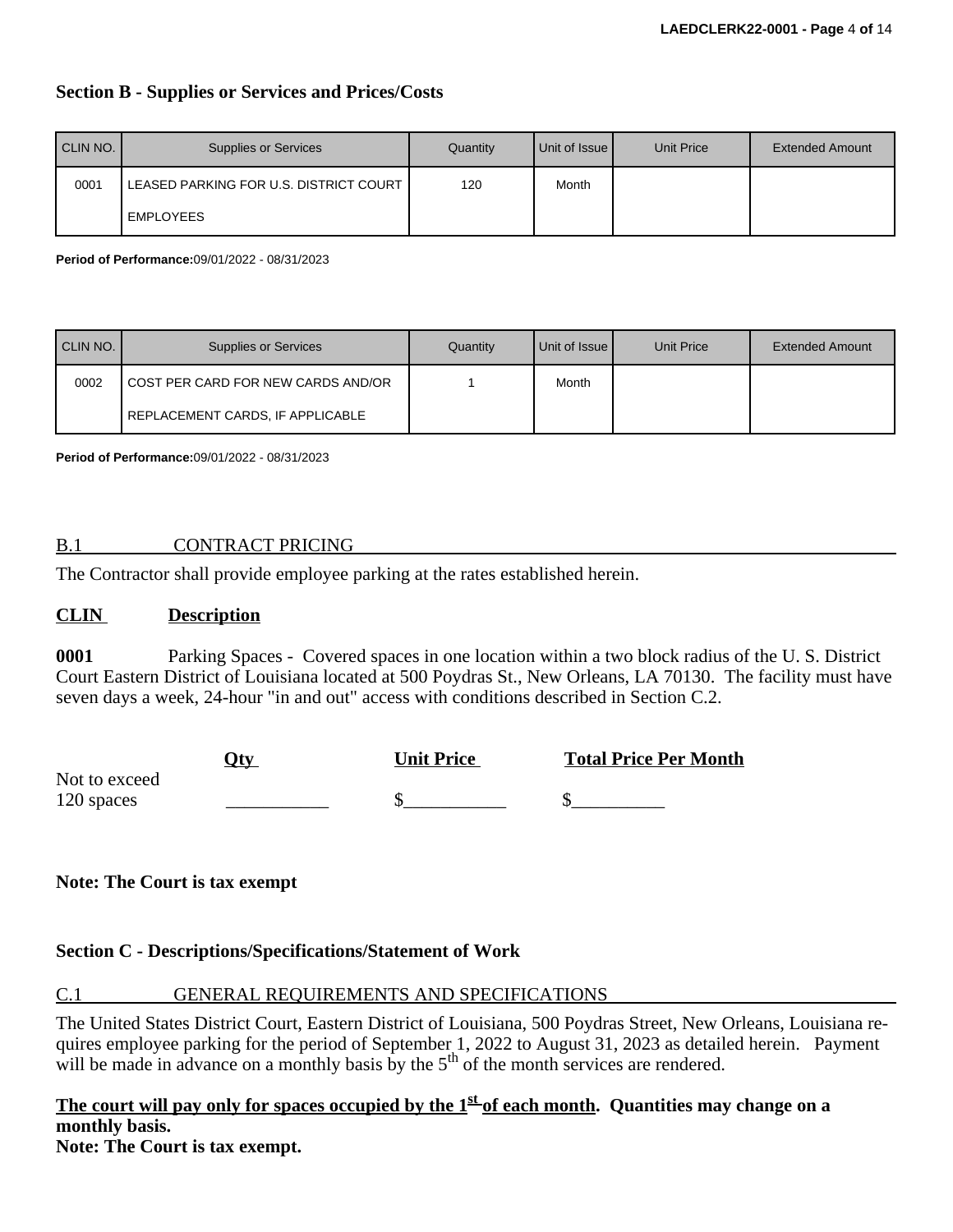# **Section B - Supplies or Services and Prices/Costs**

| CLIN NO. | <b>Supplies or Services</b>            | Quantity | Unit of Issue I | Unit Price | <b>Extended Amount</b> |
|----------|----------------------------------------|----------|-----------------|------------|------------------------|
| 0001     | LEASED PARKING FOR U.S. DISTRICT COURT | 120      | Month           |            |                        |
|          | EMPLOYEES                              |          |                 |            |                        |

**Period of Performance:**09/01/2022 - 08/31/2023

| CLIN NO. | <b>Supplies or Services</b>        | Quantity | Unit of Issue | Unit Price | <b>Extended Amount</b> |
|----------|------------------------------------|----------|---------------|------------|------------------------|
| 0002     | COST PER CARD FOR NEW CARDS AND/OR |          | Month         |            |                        |
|          | REPLACEMENT CARDS, IF APPLICABLE   |          |               |            |                        |

**Period of Performance:**09/01/2022 - 08/31/2023

# B.1 CONTRACT PRICING

The Contractor shall provide employee parking at the rates established herein.

#### **CLIN Description**

**0001** Parking Spaces - Covered spaces in one location within a two block radius of the U. S. District Court Eastern District of Louisiana located at 500 Poydras St., New Orleans, LA 70130. The facility must have seven days a week, 24-hour "in and out" access with conditions described in Section C.2.

|               | . Ity | <b>Unit Price</b> | <b>Total Price Per Month</b> |
|---------------|-------|-------------------|------------------------------|
| Not to exceed |       |                   |                              |
| 120 spaces    |       |                   |                              |

**Note: The Court is tax exempt**

# **Section C - Descriptions/Specifications/Statement of Work**

# C.1 GENERAL REQUIREMENTS AND SPECIFICATIONS

The United States District Court, Eastern District of Louisiana, 500 Poydras Street, New Orleans, Louisiana requires employee parking for the period of September 1, 2022 to August 31, 2023 as detailed herein. Payment will be made in advance on a monthly basis by the  $5<sup>th</sup>$  of the month services are rendered.

# **The court will pay only for spaces occupied by the 1 st of each month. Quantities may change on a monthly basis.**

**Note: The Court is tax exempt.**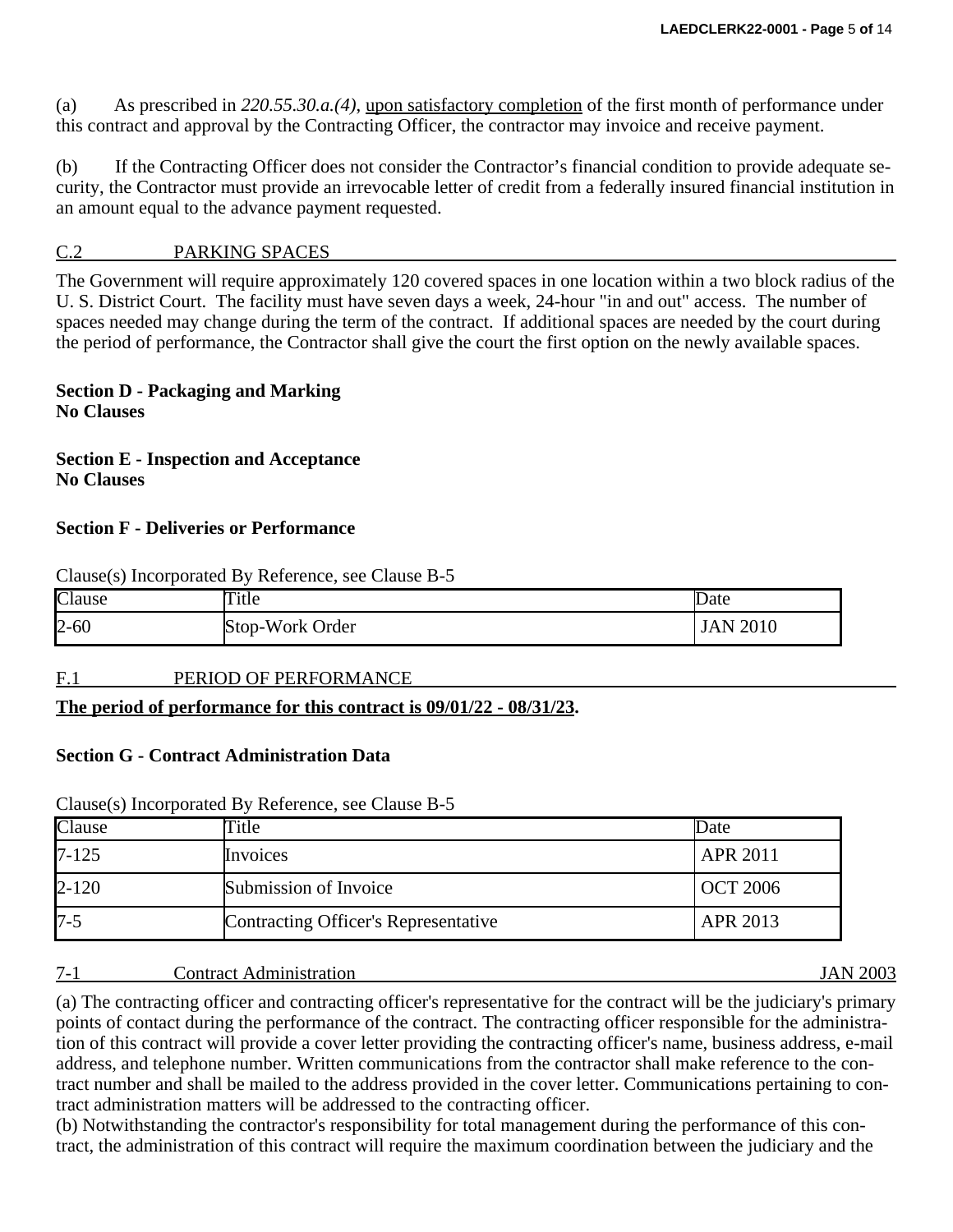(a) As prescribed in *220.55.30.a.(4)*, upon satisfactory completion of the first month of performance under this contract and approval by the Contracting Officer, the contractor may invoice and receive payment.

(b) If the Contracting Officer does not consider the Contractor's financial condition to provide adequate security, the Contractor must provide an irrevocable letter of credit from a federally insured financial institution in an amount equal to the advance payment requested.

# C.2 PARKING SPACES

The Government will require approximately 120 covered spaces in one location within a two block radius of the U. S. District Court. The facility must have seven days a week, 24-hour "in and out" access. The number of spaces needed may change during the term of the contract. If additional spaces are needed by the court during the period of performance, the Contractor shall give the court the first option on the newly available spaces.

**Section D - Packaging and Marking No Clauses**

**Section E - Inspection and Acceptance No Clauses**

## **Section F - Deliveries or Performance**

| $\alpha$ change (b) incorporated $\bf{D}$ , increasingly, see change $\bf{D}$ b |                 |             |  |  |  |  |
|---------------------------------------------------------------------------------|-----------------|-------------|--|--|--|--|
| Clause                                                                          | Title           | Date        |  |  |  |  |
| $2 - 60$                                                                        | Stop-Work Order | 2010<br>JAN |  |  |  |  |

#### F.1 PERIOD OF PERFORMANCE

Clause(s) Incorporated By Reference, see Clause B-5

# **The period of performance for this contract is 09/01/22 - 08/31/23.**

#### **Section G - Contract Administration Data**

| Clause    | $\tau$ itle                          | Date            |
|-----------|--------------------------------------|-----------------|
| $7 - 125$ | Invoices                             | <b>APR 2011</b> |
| $2 - 120$ | Submission of Invoice                | <b>OCT 2006</b> |
| $7 - 5$   | Contracting Officer's Representative | APR 2013        |

#### Clause(s) Incorporated By Reference, see Clause B-5

#### 7-1 Contract Administration JAN 2003

(a) The contracting officer and contracting officer's representative for the contract will be the judiciary's primary points of contact during the performance of the contract. The contracting officer responsible for the administration of this contract will provide a cover letter providing the contracting officer's name, business address, e-mail address, and telephone number. Written communications from the contractor shall make reference to the contract number and shall be mailed to the address provided in the cover letter. Communications pertaining to contract administration matters will be addressed to the contracting officer.

(b) Notwithstanding the contractor's responsibility for total management during the performance of this contract, the administration of this contract will require the maximum coordination between the judiciary and the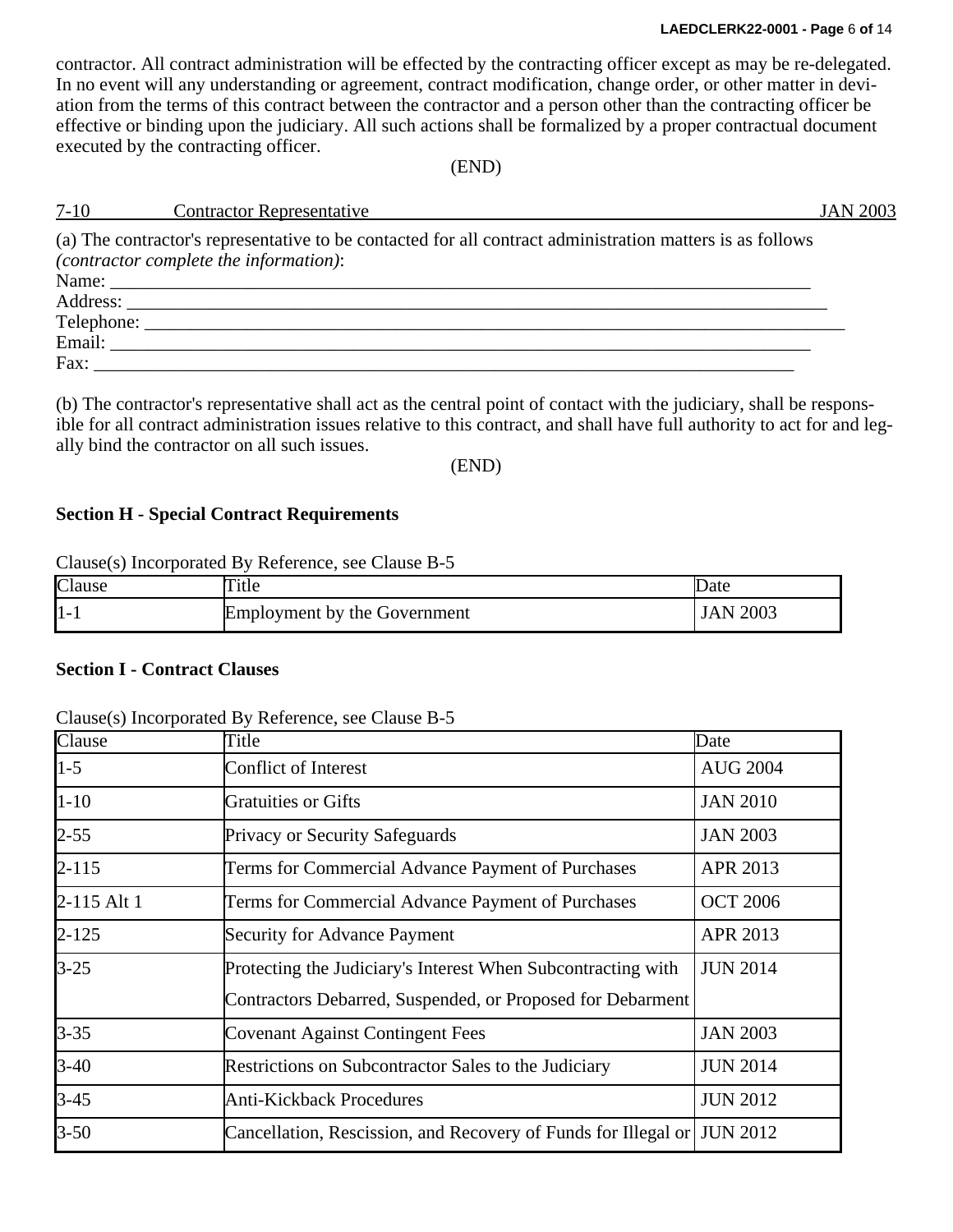contractor. All contract administration will be effected by the contracting officer except as may be re-delegated. In no event will any understanding or agreement, contract modification, change order, or other matter in deviation from the terms of this contract between the contractor and a person other than the contracting officer be effective or binding upon the judiciary. All such actions shall be formalized by a proper contractual document executed by the contracting officer.

(END)

| <u>7-10 Contractor Representative</u>                                                                                                               | <b>JAN 2003</b> |
|-----------------------------------------------------------------------------------------------------------------------------------------------------|-----------------|
| (a) The contractor's representative to be contacted for all contract administration matters is as follows<br>(contractor complete the information): |                 |
|                                                                                                                                                     |                 |
|                                                                                                                                                     |                 |
|                                                                                                                                                     |                 |
|                                                                                                                                                     |                 |
|                                                                                                                                                     |                 |

(b) The contractor's representative shall act as the central point of contact with the judiciary, shall be responsible for all contract administration issues relative to this contract, and shall have full authority to act for and legally bind the contractor on all such issues.

(END)

## **Section H - Special Contract Requirements**

Clause(s) Incorporated By Reference, see Clause B-5

| Clause     | 'itle                               | Date        |
|------------|-------------------------------------|-------------|
| $\vert$ 1- | <b>Employment by the Government</b> | 2003<br>JAN |

# **Section I - Contract Clauses**

| Clause(s) Incorporated By Reference, see Clause B-5 |  |  |  |  |
|-----------------------------------------------------|--|--|--|--|
|-----------------------------------------------------|--|--|--|--|

| Clause      | Title                                                                   | Date            |
|-------------|-------------------------------------------------------------------------|-----------------|
| $1 - 5$     | <b>Conflict of Interest</b>                                             | <b>AUG 2004</b> |
| $1 - 10$    | <b>Gratuities or Gifts</b>                                              | <b>JAN 2010</b> |
| $2 - 55$    | <b>Privacy or Security Safeguards</b>                                   | <b>JAN 2003</b> |
| $2 - 115$   | Terms for Commercial Advance Payment of Purchases                       | APR 2013        |
| 2-115 Alt 1 | Terms for Commercial Advance Payment of Purchases                       | <b>OCT 2006</b> |
| $2 - 125$   | <b>Security for Advance Payment</b>                                     | APR 2013        |
| $3 - 25$    | Protecting the Judiciary's Interest When Subcontracting with            | <b>JUN 2014</b> |
|             | Contractors Debarred, Suspended, or Proposed for Debarment              |                 |
| $3 - 35$    | <b>Covenant Against Contingent Fees</b>                                 | <b>JAN 2003</b> |
| $3-40$      | Restrictions on Subcontractor Sales to the Judiciary                    | <b>JUN 2014</b> |
| $3-45$      | <b>Anti-Kickback Procedures</b>                                         | <b>JUN 2012</b> |
| $3 - 50$    | Cancellation, Rescission, and Recovery of Funds for Illegal or JUN 2012 |                 |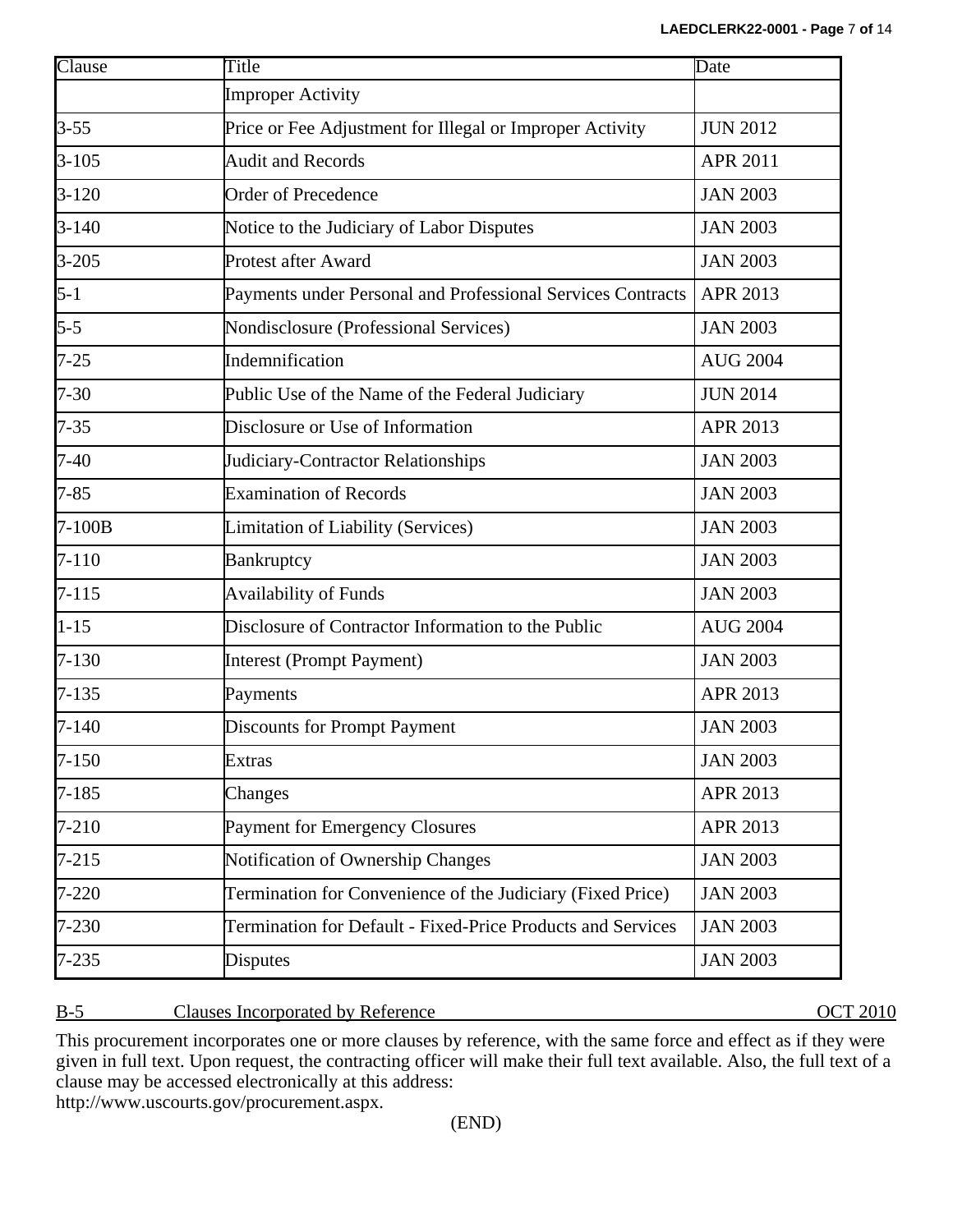| Clause    | Title                                                       | Date            |
|-----------|-------------------------------------------------------------|-----------------|
|           | <b>Improper Activity</b>                                    |                 |
| $3 - 55$  | Price or Fee Adjustment for Illegal or Improper Activity    | <b>JUN 2012</b> |
| $3 - 105$ | <b>Audit and Records</b>                                    | <b>APR 2011</b> |
| $3 - 120$ | <b>Order of Precedence</b>                                  | <b>JAN 2003</b> |
| $3 - 140$ | Notice to the Judiciary of Labor Disputes                   | <b>JAN 2003</b> |
| $3 - 205$ | <b>Protest after Award</b>                                  | <b>JAN 2003</b> |
| $5 - 1$   | Payments under Personal and Professional Services Contracts | APR 2013        |
| $5 - 5$   | Nondisclosure (Professional Services)                       | <b>JAN 2003</b> |
| $7 - 25$  | Indemnification                                             | <b>AUG 2004</b> |
| $7 - 30$  | Public Use of the Name of the Federal Judiciary             | <b>JUN 2014</b> |
| $7 - 35$  | Disclosure or Use of Information                            | APR 2013        |
| $7-40$    | Judiciary-Contractor Relationships                          | <b>JAN 2003</b> |
| $7 - 85$  | <b>Examination of Records</b>                               | <b>JAN 2003</b> |
| $7-100B$  | <b>Limitation of Liability (Services)</b>                   | <b>JAN 2003</b> |
| $7 - 110$ | <b>Bankruptcy</b>                                           | <b>JAN 2003</b> |
| $7 - 115$ | <b>Availability of Funds</b>                                | <b>JAN 2003</b> |
| $1 - 15$  | Disclosure of Contractor Information to the Public          | <b>AUG 2004</b> |
| $7 - 130$ | <b>Interest (Prompt Payment)</b>                            | <b>JAN 2003</b> |
| $7 - 135$ | Payments                                                    | APR 2013        |
| $7 - 140$ | <b>Discounts for Prompt Payment</b>                         | <b>JAN 2003</b> |
| $7 - 150$ | <b>Extras</b>                                               | <b>JAN 2003</b> |
| $7 - 185$ | Changes                                                     | APR 2013        |
| $7 - 210$ | <b>Payment for Emergency Closures</b>                       | APR 2013        |
| $7 - 215$ | Notification of Ownership Changes                           | <b>JAN 2003</b> |
| $7 - 220$ | Termination for Convenience of the Judiciary (Fixed Price)  | <b>JAN 2003</b> |
| 7-230     | Termination for Default - Fixed-Price Products and Services | <b>JAN 2003</b> |
| $7 - 235$ | Disputes                                                    | <b>JAN 2003</b> |

# B-5 Clauses Incorporated by Reference OCT 2010

This procurement incorporates one or more clauses by reference, with the same force and effect as if they were given in full text. Upon request, the contracting officer will make their full text available. Also, the full text of a clause may be accessed electronically at this address: http://www.uscourts.gov/procurement.aspx.

(END)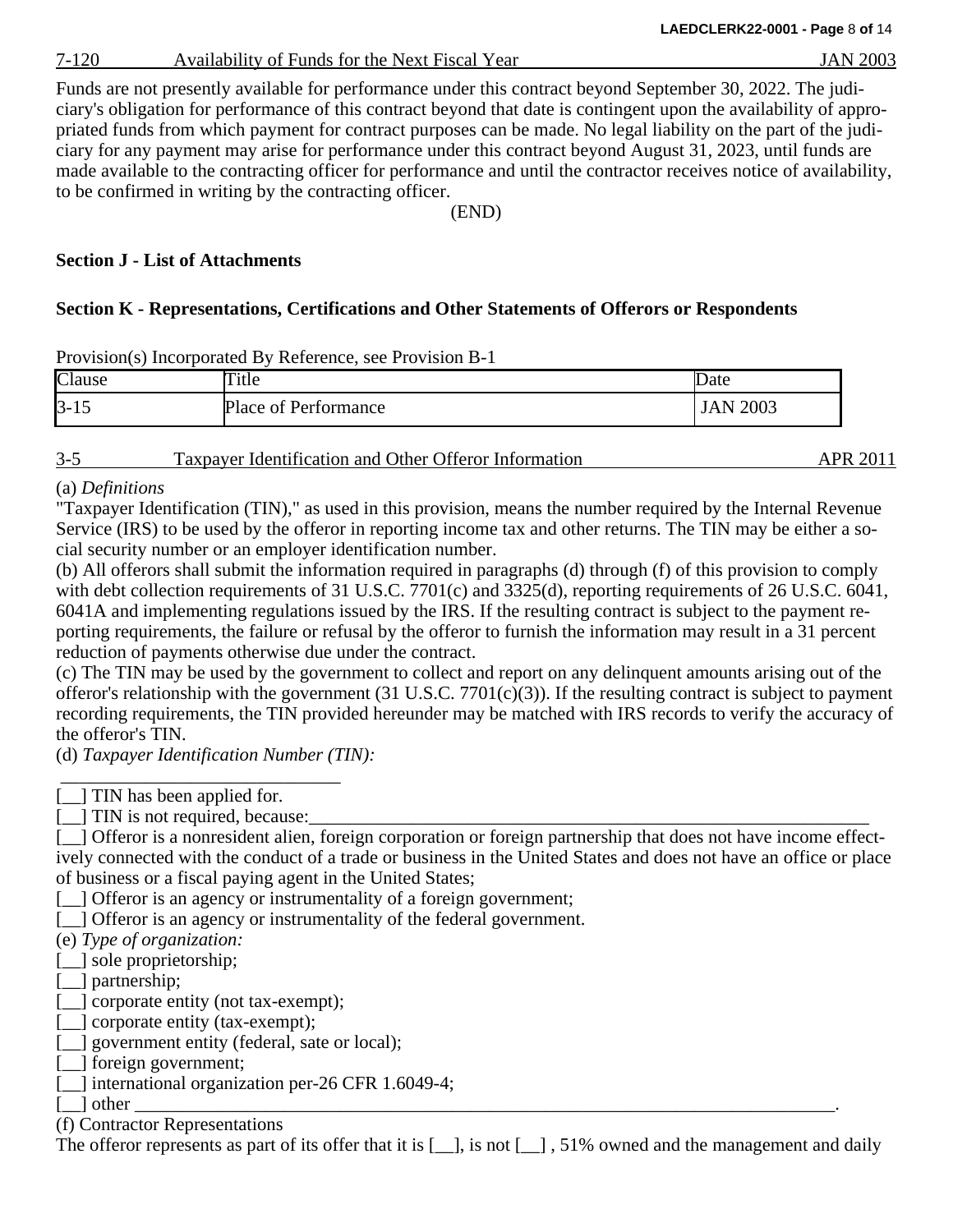7-120 Availability of Funds for the Next Fiscal Year JAN 2003

Funds are not presently available for performance under this contract beyond September 30, 2022. The judiciary's obligation for performance of this contract beyond that date is contingent upon the availability of appropriated funds from which payment for contract purposes can be made. No legal liability on the part of the judiciary for any payment may arise for performance under this contract beyond August 31, 2023, until funds are made available to the contracting officer for performance and until the contractor receives notice of availability, to be confirmed in writing by the contracting officer.

(END)

# **Section J - List of Attachments**

# **Section K - Representations, Certifications and Other Statements of Offerors or Respondents**

| Clause   | itle                 | Jate        |
|----------|----------------------|-------------|
| $3 - 15$ | Place of Performance | 2003<br>JAN |

Provision(s) Incorporated By Reference, see Provision B-1

| $3 - 5$ | Taxpayer Identification and Other Offeror Information | <b>APR 2011</b> |
|---------|-------------------------------------------------------|-----------------|
|         |                                                       |                 |

(a) *Definitions*

"Taxpayer Identification (TIN)," as used in this provision, means the number required by the Internal Revenue Service (IRS) to be used by the offeror in reporting income tax and other returns. The TIN may be either a social security number or an employer identification number.

(b) All offerors shall submit the information required in paragraphs (d) through (f) of this provision to comply with debt collection requirements of 31 U.S.C. 7701(c) and 3325(d), reporting requirements of 26 U.S.C. 6041, 6041A and implementing regulations issued by the IRS. If the resulting contract is subject to the payment reporting requirements, the failure or refusal by the offeror to furnish the information may result in a 31 percent reduction of payments otherwise due under the contract.

(c) The TIN may be used by the government to collect and report on any delinquent amounts arising out of the offeror's relationship with the government  $(31 \text{ U.S.C. } 7701(c)(3))$ . If the resulting contract is subject to payment recording requirements, the TIN provided hereunder may be matched with IRS records to verify the accuracy of the offeror's TIN.

(d) *Taxpayer Identification Number (TIN):*

\_\_\_\_\_\_\_\_\_\_\_\_\_\_\_\_\_\_\_\_\_\_\_\_\_\_\_\_\_\_ [\_\_] TIN has been applied for.

 $[\_]$  TIN is not required, because:

[ $\Box$ ] Offeror is a nonresident alien, foreign corporation or foreign partnership that does not have income effectively connected with the conduct of a trade or business in the United States and does not have an office or place of business or a fiscal paying agent in the United States;

[  $\Box$  ] Offeror is an agency or instrumentality of a foreign government;

[111] Offeror is an agency or instrumentality of the federal government.

(e) *Type of organization:*

[1] sole proprietorship;

[\_] partnership;

[\_] corporate entity (not tax-exempt);

[<br>  $\Box$ ] corporate entity (tax-exempt);

[\_] government entity (federal, sate or local);

[11] foreign government;

[11] international organization per-26 CFR 1.6049-4;

[\_\_] other \_\_\_\_\_\_\_\_\_\_\_\_\_\_\_\_\_\_\_\_\_\_\_\_\_\_\_\_\_\_\_\_\_\_\_\_\_\_\_\_\_\_\_\_\_\_\_\_\_\_\_\_\_\_\_\_\_\_\_\_\_\_\_\_\_\_\_\_\_\_\_\_\_\_\_.

(f) Contractor Representations

The offeror represents as part of its offer that it is  $[\_$ , is not  $[\_]$ , 51% owned and the management and daily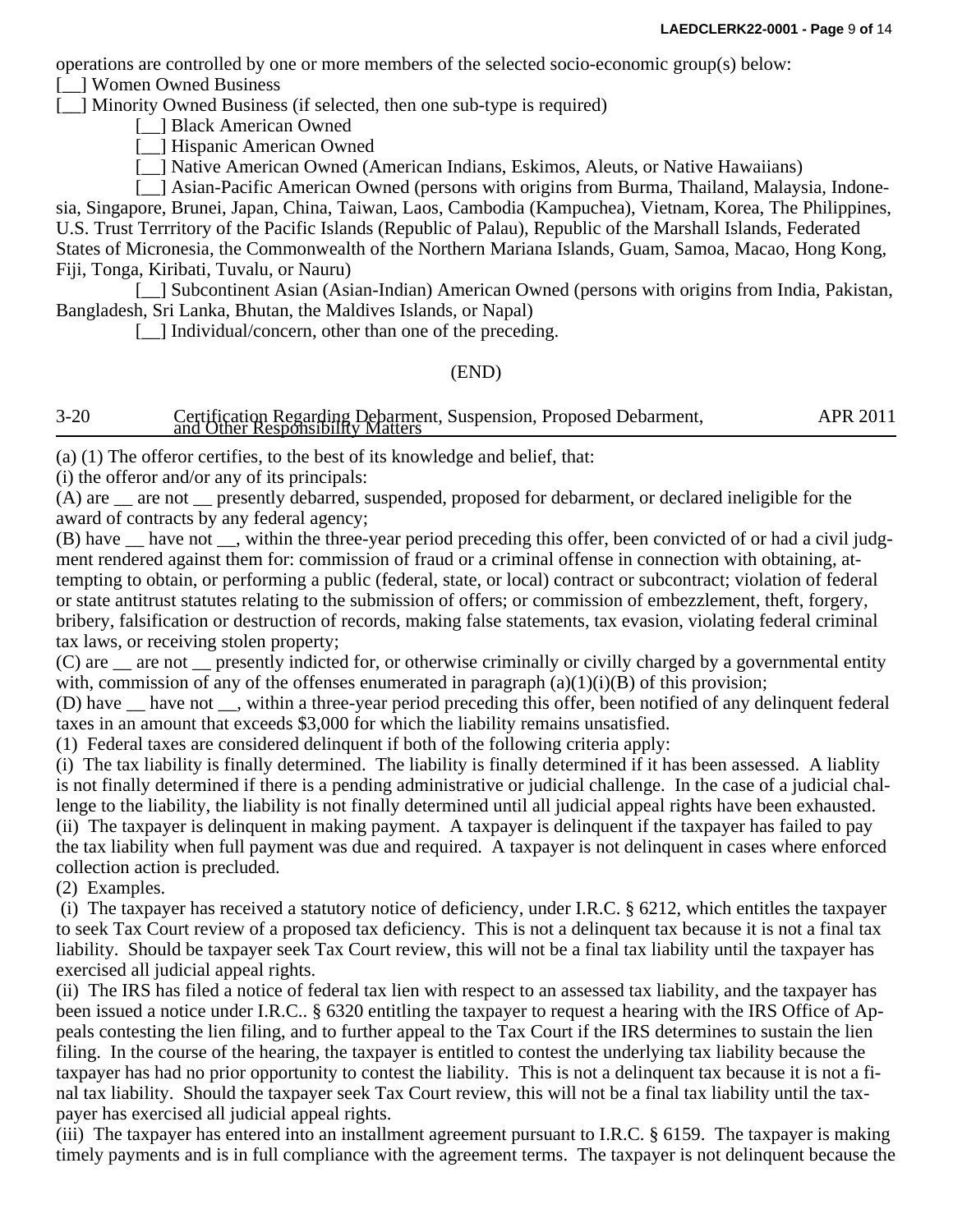operations are controlled by one or more members of the selected socio-economic group(s) below:

[  $\Box$  Women Owned Business

[11] Minority Owned Business (if selected, then one sub-type is required)

[<sup>1</sup>] Black American Owned

[\_] Hispanic American Owned

[11] Native American Owned (American Indians, Eskimos, Aleuts, or Native Hawaiians)

[11] Asian-Pacific American Owned (persons with origins from Burma, Thailand, Malaysia, Indonesia, Singapore, Brunei, Japan, China, Taiwan, Laos, Cambodia (Kampuchea), Vietnam, Korea, The Philippines, U.S. Trust Terrritory of the Pacific Islands (Republic of Palau), Republic of the Marshall Islands, Federated States of Micronesia, the Commonwealth of the Northern Mariana Islands, Guam, Samoa, Macao, Hong Kong, Fiji, Tonga, Kiribati, Tuvalu, or Nauru)

[11] Subcontinent Asian (Asian-Indian) American Owned (persons with origins from India, Pakistan, Bangladesh, Sri Lanka, Bhutan, the Maldives Islands, or Napal)

[11] Individual/concern, other than one of the preceding.

(END)

3-20 Certification Regarding Debarment, Suspension, Proposed Debarment, APR 2011<br>and Other Responsibility Matters

(a) (1) The offeror certifies, to the best of its knowledge and belief, that:

(i) the offeror and/or any of its principals:

(A) are \_\_ are not \_\_ presently debarred, suspended, proposed for debarment, or declared ineligible for the award of contracts by any federal agency;

(B) have \_\_ have not \_\_, within the three-year period preceding this offer, been convicted of or had a civil judgment rendered against them for: commission of fraud or a criminal offense in connection with obtaining, attempting to obtain, or performing a public (federal, state, or local) contract or subcontract; violation of federal or state antitrust statutes relating to the submission of offers; or commission of embezzlement, theft, forgery, bribery, falsification or destruction of records, making false statements, tax evasion, violating federal criminal tax laws, or receiving stolen property;

(C) are \_\_ are not \_\_ presently indicted for, or otherwise criminally or civilly charged by a governmental entity with, commission of any of the offenses enumerated in paragraph  $(a)(1)(i)(B)$  of this provision;

(D) have \_\_ have not \_\_, within a three-year period preceding this offer, been notified of any delinquent federal taxes in an amount that exceeds \$3,000 for which the liability remains unsatisfied.

(1) Federal taxes are considered delinquent if both of the following criteria apply:

(i) The tax liability is finally determined. The liability is finally determined if it has been assessed. A liablity is not finally determined if there is a pending administrative or judicial challenge. In the case of a judicial challenge to the liability, the liability is not finally determined until all judicial appeal rights have been exhausted. (ii) The taxpayer is delinquent in making payment. A taxpayer is delinquent if the taxpayer has failed to pay the tax liability when full payment was due and required. A taxpayer is not delinquent in cases where enforced collection action is precluded.

(2) Examples.

(i) The taxpayer has received a statutory notice of deficiency, under I.R.C. § 6212, which entitles the taxpayer to seek Tax Court review of a proposed tax deficiency. This is not a delinquent tax because it is not a final tax liability. Should be taxpayer seek Tax Court review, this will not be a final tax liability until the taxpayer has exercised all judicial appeal rights.

(ii) The IRS has filed a notice of federal tax lien with respect to an assessed tax liability, and the taxpayer has been issued a notice under I.R.C.. § 6320 entitling the taxpayer to request a hearing with the IRS Office of Appeals contesting the lien filing, and to further appeal to the Tax Court if the IRS determines to sustain the lien filing. In the course of the hearing, the taxpayer is entitled to contest the underlying tax liability because the taxpayer has had no prior opportunity to contest the liability. This is not a delinquent tax because it is not a final tax liability. Should the taxpayer seek Tax Court review, this will not be a final tax liability until the taxpayer has exercised all judicial appeal rights.

(iii) The taxpayer has entered into an installment agreement pursuant to I.R.C. § 6159. The taxpayer is making timely payments and is in full compliance with the agreement terms. The taxpayer is not delinquent because the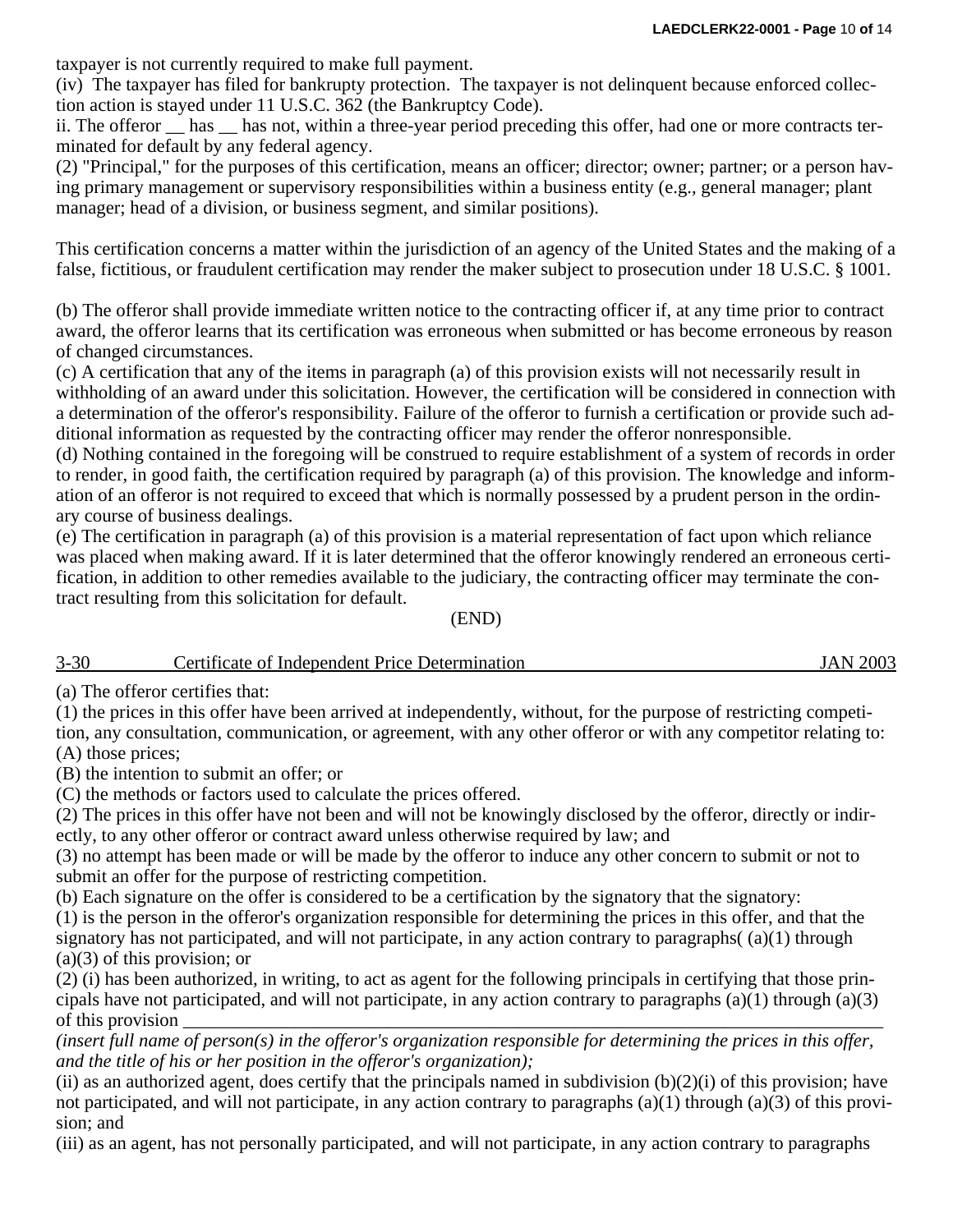taxpayer is not currently required to make full payment.

(iv) The taxpayer has filed for bankrupty protection. The taxpayer is not delinquent because enforced collection action is stayed under 11 U.S.C. 362 (the Bankruptcy Code).

ii. The offeror <u>has has not</u>, within a three-year period preceding this offer, had one or more contracts terminated for default by any federal agency.

(2) "Principal," for the purposes of this certification, means an officer; director; owner; partner; or a person having primary management or supervisory responsibilities within a business entity (e.g., general manager; plant manager; head of a division, or business segment, and similar positions).

This certification concerns a matter within the jurisdiction of an agency of the United States and the making of a false, fictitious, or fraudulent certification may render the maker subject to prosecution under 18 U.S.C. § 1001.

(b) The offeror shall provide immediate written notice to the contracting officer if, at any time prior to contract award, the offeror learns that its certification was erroneous when submitted or has become erroneous by reason of changed circumstances.

(c) A certification that any of the items in paragraph (a) of this provision exists will not necessarily result in withholding of an award under this solicitation. However, the certification will be considered in connection with a determination of the offeror's responsibility. Failure of the offeror to furnish a certification or provide such additional information as requested by the contracting officer may render the offeror nonresponsible.

(d) Nothing contained in the foregoing will be construed to require establishment of a system of records in order to render, in good faith, the certification required by paragraph (a) of this provision. The knowledge and information of an offeror is not required to exceed that which is normally possessed by a prudent person in the ordinary course of business dealings.

(e) The certification in paragraph (a) of this provision is a material representation of fact upon which reliance was placed when making award. If it is later determined that the offeror knowingly rendered an erroneous certification, in addition to other remedies available to the judiciary, the contracting officer may terminate the contract resulting from this solicitation for default.

(END)

| $3 - 30$ | Certificate of Independent Price Determination | AN 2003<br>. A N ′ |
|----------|------------------------------------------------|--------------------|
|          |                                                |                    |

(a) The offeror certifies that:

(1) the prices in this offer have been arrived at independently, without, for the purpose of restricting competition, any consultation, communication, or agreement, with any other offeror or with any competitor relating to: (A) those prices;

(B) the intention to submit an offer; or

(C) the methods or factors used to calculate the prices offered.

(2) The prices in this offer have not been and will not be knowingly disclosed by the offeror, directly or indirectly, to any other offeror or contract award unless otherwise required by law; and

(3) no attempt has been made or will be made by the offeror to induce any other concern to submit or not to submit an offer for the purpose of restricting competition.

(b) Each signature on the offer is considered to be a certification by the signatory that the signatory:

(1) is the person in the offeror's organization responsible for determining the prices in this offer, and that the signatory has not participated, and will not participate, in any action contrary to paragraphs( (a)(1) through (a)(3) of this provision; or

(2) (i) has been authorized, in writing, to act as agent for the following principals in certifying that those principals have not participated, and will not participate, in any action contrary to paragraphs (a)(1) through (a)(3) of this provision

*(insert full name of person(s) in the offeror's organization responsible for determining the prices in this offer, and the title of his or her position in the offeror's organization);*

(ii) as an authorized agent, does certify that the principals named in subdivision  $(b)(2)(i)$  of this provision; have not participated, and will not participate, in any action contrary to paragraphs (a)(1) through (a)(3) of this provision; and

(iii) as an agent, has not personally participated, and will not participate, in any action contrary to paragraphs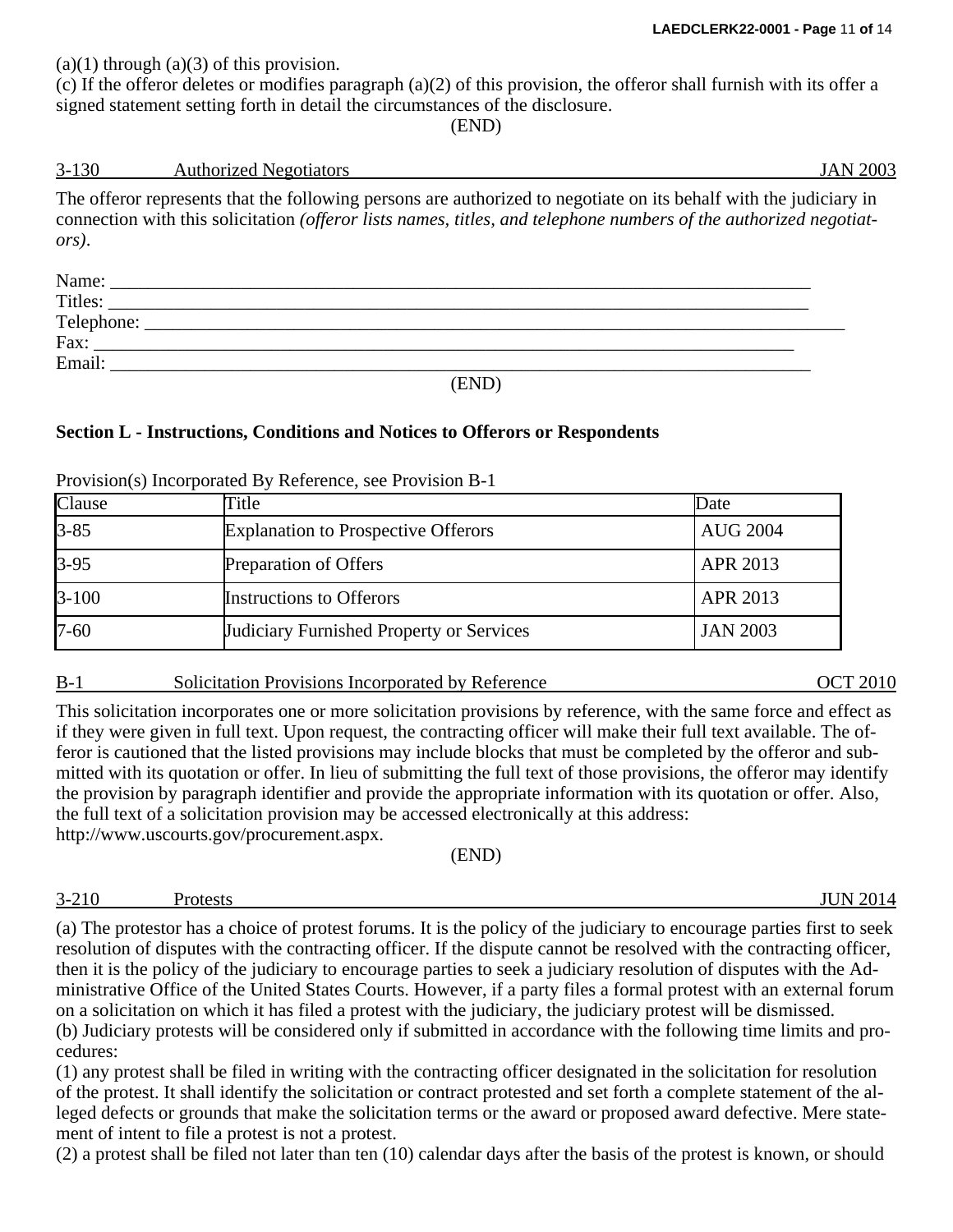$(a)(1)$  through  $(a)(3)$  of this provision.

(c) If the offeror deletes or modifies paragraph (a)(2) of this provision, the offeror shall furnish with its offer a signed statement setting forth in detail the circumstances of the disclosure.

#### (END)

# 3-130 Authorized Negotiators JAN 2003

The offeror represents that the following persons are authorized to negotiate on its behalf with the judiciary in connection with this solicitation *(offeror lists names, titles, and telephone numbers of the authorized negotiators)*.

| Name:      |  |
|------------|--|
| Titles:    |  |
| Telephone: |  |
| Fax:       |  |
| Email:     |  |
| _____      |  |

# (END)

# **Section L - Instructions, Conditions and Notices to Offerors or Respondents**

| Clause    | Title                                      | Date            |
|-----------|--------------------------------------------|-----------------|
| $3 - 85$  | <b>Explanation to Prospective Offerors</b> | <b>AUG 2004</b> |
| $3 - 95$  | Preparation of Offers                      | <b>APR 2013</b> |
| $3 - 100$ | <b>Instructions to Offerors</b>            | <b>APR 2013</b> |
| $7 - 60$  | Judiciary Furnished Property or Services   | <b>JAN 2003</b> |

Provision(s) Incorporated By Reference, see Provision B-1

#### B-1 Solicitation Provisions Incorporated by Reference OCT 2010

This solicitation incorporates one or more solicitation provisions by reference, with the same force and effect as if they were given in full text. Upon request, the contracting officer will make their full text available. The offeror is cautioned that the listed provisions may include blocks that must be completed by the offeror and submitted with its quotation or offer. In lieu of submitting the full text of those provisions, the offeror may identify the provision by paragraph identifier and provide the appropriate information with its quotation or offer. Also, the full text of a solicitation provision may be accessed electronically at this address:

http://www.uscourts.gov/procurement.aspx.

(END)

# 3-210 Protests JUN 2014

(a) The protestor has a choice of protest forums. It is the policy of the judiciary to encourage parties first to seek resolution of disputes with the contracting officer. If the dispute cannot be resolved with the contracting officer, then it is the policy of the judiciary to encourage parties to seek a judiciary resolution of disputes with the Administrative Office of the United States Courts. However, if a party files a formal protest with an external forum on a solicitation on which it has filed a protest with the judiciary, the judiciary protest will be dismissed. (b) Judiciary protests will be considered only if submitted in accordance with the following time limits and procedures:

(1) any protest shall be filed in writing with the contracting officer designated in the solicitation for resolution of the protest. It shall identify the solicitation or contract protested and set forth a complete statement of the alleged defects or grounds that make the solicitation terms or the award or proposed award defective. Mere statement of intent to file a protest is not a protest.

(2) a protest shall be filed not later than ten (10) calendar days after the basis of the protest is known, or should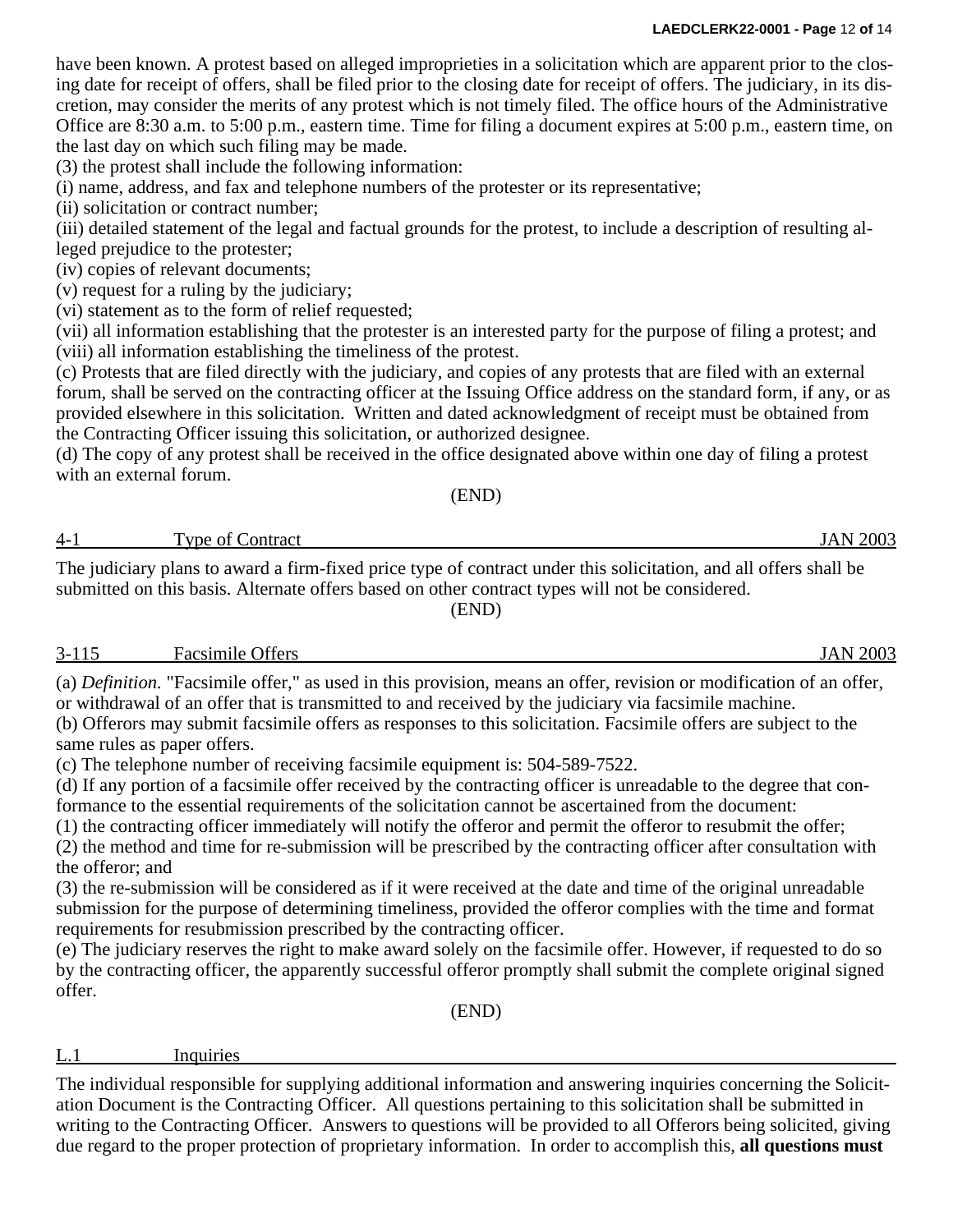#### **LAEDCLERK22-0001 - Page** 12 **of** 14

have been known. A protest based on alleged improprieties in a solicitation which are apparent prior to the closing date for receipt of offers, shall be filed prior to the closing date for receipt of offers. The judiciary, in its discretion, may consider the merits of any protest which is not timely filed. The office hours of the Administrative Office are 8:30 a.m. to 5:00 p.m., eastern time. Time for filing a document expires at 5:00 p.m., eastern time, on the last day on which such filing may be made.

(3) the protest shall include the following information:

(i) name, address, and fax and telephone numbers of the protester or its representative;

(ii) solicitation or contract number;

(iii) detailed statement of the legal and factual grounds for the protest, to include a description of resulting alleged prejudice to the protester;

(iv) copies of relevant documents;

(v) request for a ruling by the judiciary;

(vi) statement as to the form of relief requested;

(vii) all information establishing that the protester is an interested party for the purpose of filing a protest; and (viii) all information establishing the timeliness of the protest.

(c) Protests that are filed directly with the judiciary, and copies of any protests that are filed with an external forum, shall be served on the contracting officer at the Issuing Office address on the standard form, if any, or as provided elsewhere in this solicitation. Written and dated acknowledgment of receipt must be obtained from the Contracting Officer issuing this solicitation, or authorized designee.

(d) The copy of any protest shall be received in the office designated above within one day of filing a protest with an external forum.

(END)

4-1 Type of Contract JAN 2003

The judiciary plans to award a firm-fixed price type of contract under this solicitation, and all offers shall be submitted on this basis. Alternate offers based on other contract types will not be considered. (END)

#### 3-115 Facsimile Offers JAN 2003

(a) *Definition.* "Facsimile offer," as used in this provision, means an offer, revision or modification of an offer, or withdrawal of an offer that is transmitted to and received by the judiciary via facsimile machine. (b) Offerors may submit facsimile offers as responses to this solicitation. Facsimile offers are subject to the same rules as paper offers.

(c) The telephone number of receiving facsimile equipment is: 504-589-7522.

(d) If any portion of a facsimile offer received by the contracting officer is unreadable to the degree that conformance to the essential requirements of the solicitation cannot be ascertained from the document:

(1) the contracting officer immediately will notify the offeror and permit the offeror to resubmit the offer;

(2) the method and time for re-submission will be prescribed by the contracting officer after consultation with the offeror; and

(3) the re-submission will be considered as if it were received at the date and time of the original unreadable submission for the purpose of determining timeliness, provided the offeror complies with the time and format requirements for resubmission prescribed by the contracting officer.

(e) The judiciary reserves the right to make award solely on the facsimile offer. However, if requested to do so by the contracting officer, the apparently successful offeror promptly shall submit the complete original signed offer.

(END)

L.1 Inquiries

The individual responsible for supplying additional information and answering inquiries concerning the Solicitation Document is the Contracting Officer. All questions pertaining to this solicitation shall be submitted in writing to the Contracting Officer. Answers to questions will be provided to all Offerors being solicited, giving due regard to the proper protection of proprietary information. In order to accomplish this, **all questions must**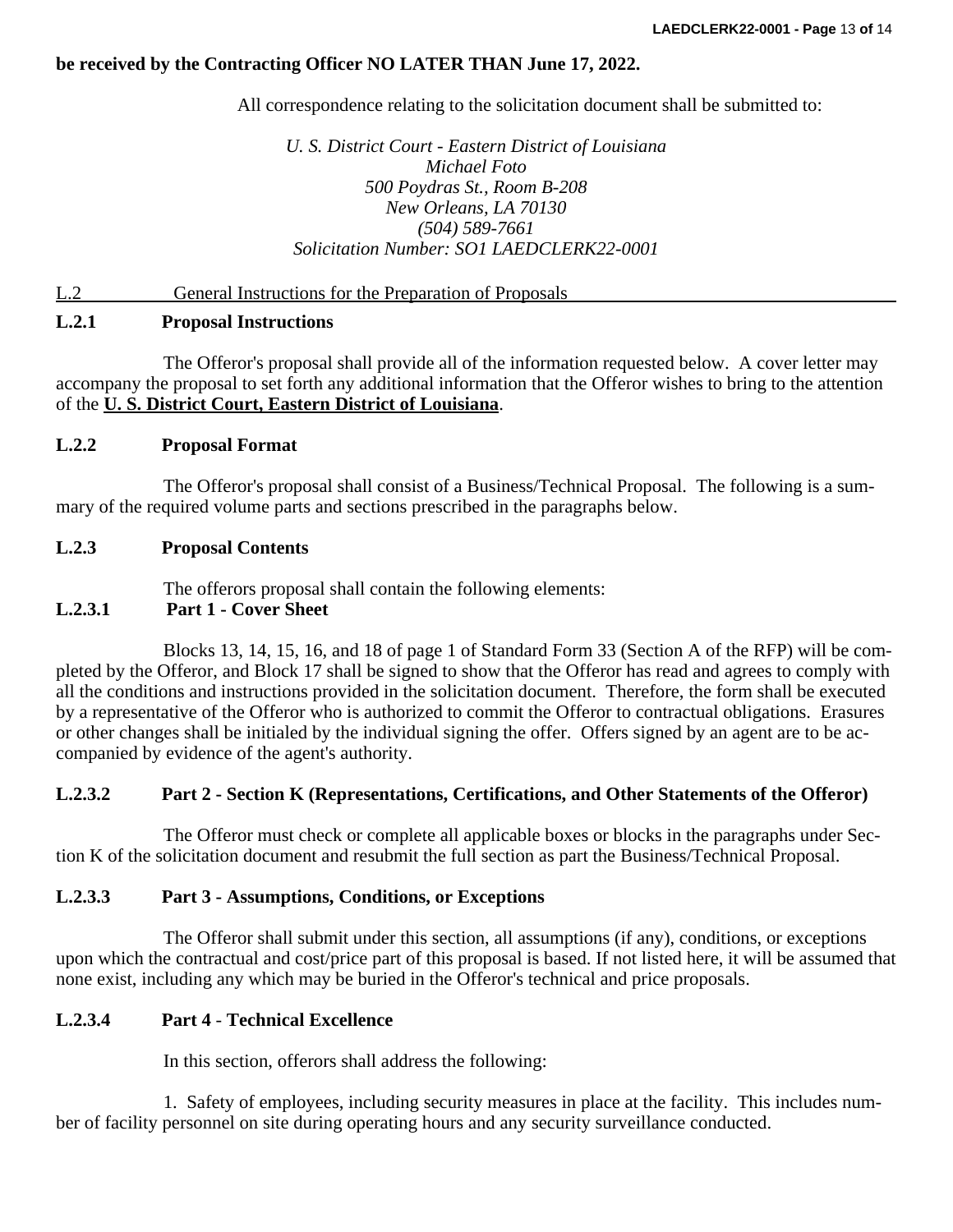# **be received by the Contracting Officer NO LATER THAN June 17, 2022.**

All correspondence relating to the solicitation document shall be submitted to:

*U. S. District Court - Eastern District of Louisiana Michael Foto 500 Poydras St., Room B-208 New Orleans, LA 70130 (504) 589-7661 Solicitation Number: SO1 LAEDCLERK22-0001*

### L.2 General Instructions for the Preparation of Proposals

# **L.2.1 Proposal Instructions**

The Offeror's proposal shall provide all of the information requested below. A cover letter may accompany the proposal to set forth any additional information that the Offeror wishes to bring to the attention of the **U. S. District Court, Eastern District of Louisiana**.

# **L.2.2 Proposal Format**

The Offeror's proposal shall consist of a Business/Technical Proposal. The following is a summary of the required volume parts and sections prescribed in the paragraphs below.

## **L.2.3 Proposal Contents**

The offerors proposal shall contain the following elements:

#### **L.2.3.1 Part 1 - Cover Sheet**

Blocks 13, 14, 15, 16, and 18 of page 1 of Standard Form 33 (Section A of the RFP) will be completed by the Offeror, and Block 17 shall be signed to show that the Offeror has read and agrees to comply with all the conditions and instructions provided in the solicitation document. Therefore, the form shall be executed by a representative of the Offeror who is authorized to commit the Offeror to contractual obligations. Erasures or other changes shall be initialed by the individual signing the offer. Offers signed by an agent are to be accompanied by evidence of the agent's authority.

#### **L.2.3.2 Part 2 - Section K (Representations, Certifications, and Other Statements of the Offeror)**

The Offeror must check or complete all applicable boxes or blocks in the paragraphs under Section K of the solicitation document and resubmit the full section as part the Business/Technical Proposal.

#### **L.2.3.3 Part 3 - Assumptions, Conditions, or Exceptions**

The Offeror shall submit under this section, all assumptions (if any), conditions, or exceptions upon which the contractual and cost/price part of this proposal is based. If not listed here, it will be assumed that none exist, including any which may be buried in the Offeror's technical and price proposals.

# **L.2.3.4 Part 4** - **Technical Excellence**

In this section, offerors shall address the following:

1. Safety of employees, including security measures in place at the facility. This includes number of facility personnel on site during operating hours and any security surveillance conducted.